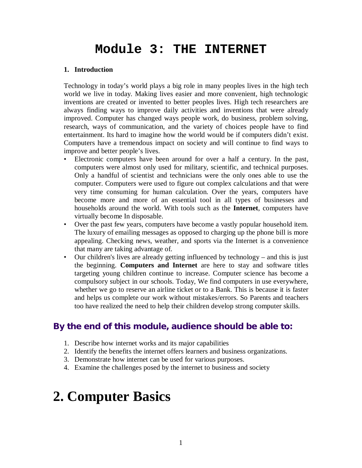# **Module 3: THE INTERNET**

# **1. Introduction**

Technology in today's world plays a big role in many peoples lives in the high tech world we live in today. Making lives easier and more convenient, high technologic inventions are created or invented to better peoples lives. High tech researchers are always finding ways to improve daily activities and inventions that were already improved. Computer has changed ways people work, do business, problem solving, research, ways of communication, and the variety of choices people have to find entertainment. Its hard to imagine how the world would be if computers didn't exist. Computers have a tremendous impact on society and will continue to find ways to improve and better people's lives.

- Electronic computers have been around for over a half a century. In the past, computers were almost only used for military, scientific, and technical purposes. Only a handful of scientist and technicians were the only ones able to use the computer. Computers were used to figure out complex calculations and that were very time consuming for human calculation. Over the years, computers have become more and more of an essential tool in all types of businesses and households around the world. With tools such as the **Internet**, computers have virtually become In disposable.
- Over the past few years, computers have become a vastly popular household item. The luxury of emailing messages as opposed to charging up the phone bill is more appealing. Checking news, weather, and sports via the Internet is a convenience that many are taking advantage of.
- Our children's lives are already getting influenced by technology and this is just the beginning. **Computers and Internet** are here to stay and software titles targeting young children continue to increase. Computer science has become a compulsory subject in our schools. Today, We find computers in use everywhere, whether we go to reserve an airline ticket or to a Bank. This is because it is faster and helps us complete our work without mistakes/errors. So Parents and teachers too have realized the need to help their children develop strong computer skills.

# **By the end of this module, audience should be able to:**

- 1. Describe how internet works and its major capabilities
- 2. Identify the benefits the internet offers learners and business organizations.
- 3. Demonstrate how internet can be used for various purposes.
- 4. Examine the challenges posed by the internet to business and society

# **2. Computer Basics**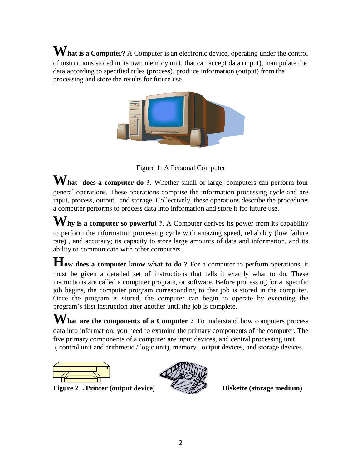**What is a Computer?** A Computer is an electronic device, operating under the control of instructions stored in its own memory unit, that can accept data (input), manipulate the data according to specified rules (process), produce information (output) from the processing and store the results for future use



Figure 1: A Personal Computer

**What does a computer do ?**. Whether small or large, computers can perform four general operations. These operations comprise the information processing cycle and are input, process, output, and storage. Collectively, these operations describe the procedures a computer performs to process data into information and store it for future use.

Why is a computer so powerful ?. A Computer derives its power from its capability to perform the information processing cycle with amazing speed, reliability (low failure rate) , and accuracy; its capacity to store large amounts of data and information, and its ability to communicate with other computers

**How does a computer know what to do ?** For a computer to perform operations, it must be given a detailed set of instructions that tells it exactly what to do. These instructions are called a computer program, or software. Before processing for a specific job begins, the computer program corresponding to that job is stored in the computer. Once the program is stored, the computer can begin to operate by executing the program's first instruction after another until the job is complete.

**What are the components of a Computer ?** To understand how computers process data into information, you need to examine the primary components of the computer. The five primary components of a computer are input devices, and central processing unit ( control unit and arithmetic / logic unit), memory , output devices, and storage devices.

Figure 2 . Printer (output device) **Example 2** Diskette (storage medium)

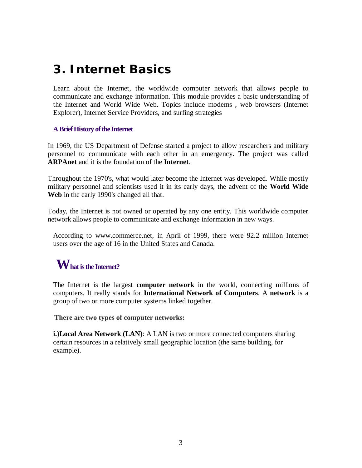# **3. Internet Basics**

Learn about the Internet, the worldwide computer network that allows people to communicate and exchange information. This module provides a basic understanding of the Internet and World Wide Web. Topics include modems , web browsers (Internet Explorer), Internet Service Providers, and surfing strategies

# **A Brief History of the Internet**

In 1969, the US Department of Defense started a project to allow researchers and military personnel to communicate with each other in an emergency. The project was called **ARPAnet** and it is the foundation of the **Internet**.

Throughout the 1970's, what would later become the Internet was developed. While mostly military personnel and scientists used it in its early days, the advent of the **World Wide Web** in the early 1990's changed all that.

Today, the Internet is not owned or operated by any one entity. This worldwide computer network allows people to communicate and exchange information in new ways.

According to www.commerce.net, in April of 1999, there were 92.2 million Internet users over the age of 16 in the United States and Canada.

# **What is the Internet?**

The Internet is the largest **computer network** in the world, connecting millions of computers. It really stands for **International Network of Computers**. A **network** is a group of two or more computer systems linked together.

**There are two types of computer networks:**

**i.)Local Area Network (LAN)**: A LAN is two or more connected computers sharing certain resources in a relatively small geographic location (the same building, for example).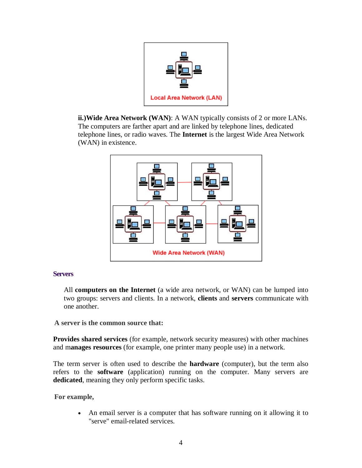

**ii.)Wide Area Network (WAN)**: A WAN typically consists of 2 or more LANs. The computers are farther apart and are linked by telephone lines, dedicated telephone lines, or radio waves. The **Internet** is the largest Wide Area Network (WAN) in existence.



#### **Servers**

All **computers on the Internet** (a wide area network, or WAN) can be lumped into two groups: servers and clients. In a network, **clients** and **servers** communicate with one another.

**A server is the common source that:**

**Provides shared services** (for example, network security measures) with other machines and m**anages resources** (for example, one printer many people use) in a network.

The term server is often used to describe the **hardware** (computer), but the term also refers to the **software** (application) running on the computer. Many servers are **dedicated**, meaning they only perform specific tasks.

**For example,**

 An email server is a computer that has software running on it allowing it to "serve" email-related services.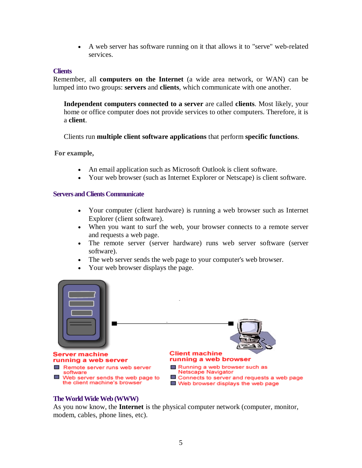A web server has software running on it that allows it to "serve" web-related services.

#### **Clients**

Remember, all **computers on the Internet** (a wide area network, or WAN) can be lumped into two groups: **servers** and **clients**, which communicate with one another.

**Independent computers connected to a server** are called **clients**. Most likely, your home or office computer does not provide services to other computers. Therefore, it is a **client**.

Clients run **multiple client software applications** that perform **specific functions**.

**For example,**

- An email application such as Microsoft Outlook is client software.
- Your web browser (such as Internet Explorer or Netscape) is client software.

#### **Servers and Clients Communicate**

- Your computer (client hardware) is running a web browser such as Internet Explorer (client software).
- When you want to surf the web, your browser connects to a remote server and requests a web page.
- The remote server (server hardware) runs web server software (server software).
- The web server sends the web page to your computer's web browser.
- Your web browser displays the page.



#### **The World Wide Web (WWW)**

As you now know, the **Internet** is the physical computer network (computer, monitor, modem, cables, phone lines, etc).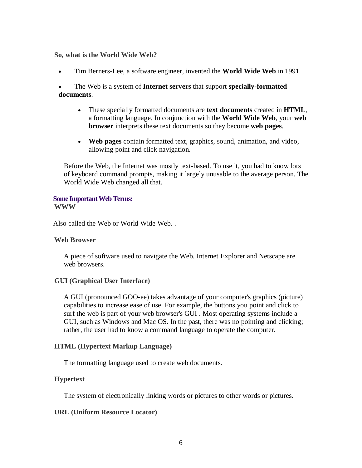#### **So, what is the World Wide Web?**

Tim Berners-Lee, a software engineer, invented the **World Wide Web** in 1991.

 The Web is a system of **Internet servers** that support **specially-formatted documents**.

- These specially formatted documents are **text documents** created in **HTML**, a formatting language. In conjunction with the **World Wide Web**, your **web browser** interprets these text documents so they become **web pages**.
- **Web pages** contain formatted text, graphics, sound, animation, and video, allowing point and click navigation.

Before the Web, the Internet was mostly text-based. To use it, you had to know lots of keyboard command prompts, making it largely unusable to the average person. The World Wide Web changed all that.

#### **Some Important Web Terms: WWW**

Also called the Web or World Wide Web. .

# **Web Browser**

A piece of software used to navigate the Web. Internet Explorer and Netscape are web browsers.

# **GUI (Graphical User Interface)**

A GUI (pronounced GOO-ee) takes advantage of your computer's graphics (picture) capabilities to increase ease of use. For example, the buttons you point and click to surf the web is part of your web browser's GUI . Most operating systems include a GUI, such as Windows and Mac OS. In the past, there was no pointing and clicking; rather, the user had to know a command language to operate the computer.

# **HTML (Hypertext Markup Language)**

The formatting language used to create web documents.

# **Hypertext**

The system of electronically linking words or pictures to other words or pictures.

# **URL (Uniform Resource Locator)**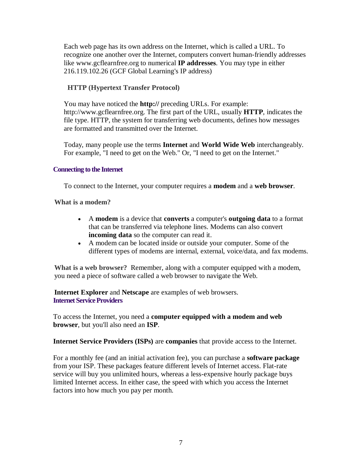Each web page has its own address on the Internet, which is called a URL. To recognize one another over the Internet, computers convert human-friendly addresses like www.gcflearnfree.org to numerical **IP addresses**. You may type in either 216.119.102.26 (GCF Global Learning's IP address)

# **HTTP (Hypertext Transfer Protocol)**

You may have noticed the **http://** preceding URLs. For example: http://www.gcflearnfree.org. The first part of the URL, usually **HTTP**, indicates the file type. HTTP, the system for transferring web documents, defines how messages are formatted and transmitted over the Internet.

Today, many people use the terms **Internet** and **World Wide Web** interchangeably. For example, "I need to get on the Web." Or, "I need to get on the Internet."

# **Connecting to the Internet**

To connect to the Internet, your computer requires a **modem** and a **web browser**.

**What is a modem?**

- A **modem** is a device that **converts** a computer's **outgoing data** to a format that can be transferred via telephone lines. Modems can also convert **incoming data** so the computer can read it.
- A modem can be located inside or outside your computer. Some of the different types of modems are internal, external, voice/data, and fax modems.

**What is a web browser?** Remember, along with a computer equipped with a modem, you need a piece of software called a web browser to navigate the Web.

**Internet Explorer** and **Netscape** are examples of web browsers. **Internet Service Providers**

To access the Internet, you need a **computer equipped with a modem and web browser**, but you'll also need an **ISP**.

**Internet Service Providers (ISPs)** are **companies** that provide access to the Internet.

For a monthly fee (and an initial activation fee), you can purchase a **software package** from your ISP. These packages feature different levels of Internet access. Flat-rate service will buy you unlimited hours, whereas a less-expensive hourly package buys limited Internet access. In either case, the speed with which you access the Internet factors into how much you pay per month.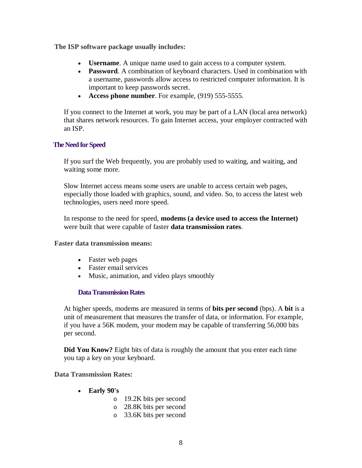**The ISP software package usually includes:**

- **Username**. A unique name used to gain access to a computer system.
- **Password**. A combination of keyboard characters. Used in combination with a username, passwords allow access to restricted computer information. It is important to keep passwords secret.
- **Access phone number**. For example, (919) 555-5555.

If you connect to the Internet at work, you may be part of a LAN (local area network) that shares network resources. To gain Internet access, your employer contracted with an ISP.

# **The Need for Speed**

If you surf the Web frequently, you are probably used to waiting, and waiting, and waiting some more.

Slow Internet access means some users are unable to access certain web pages, especially those loaded with graphics, sound, and video. So, to access the latest web technologies, users need more speed.

In response to the need for speed, **modems (a device used to access the Internet)** were built that were capable of faster **data transmission rates**.

# **Faster data transmission means:**

- Faster web pages
- Faster email services
- Music, animation, and video plays smoothly

# **Data Transmission Rates**

At higher speeds, modems are measured in terms of **bits per second** (bps). A **bit** is a unit of measurement that measures the transfer of data, or information. For example, if you have a 56K modem, your modem may be capable of transferring 56,000 bits per second.

**Did You Know?** Eight bits of data is roughly the amount that you enter each time you tap a key on your keyboard.

# **Data Transmission Rates:**

- **Early 90's**
	- o 19.2K bits per second
	- o 28.8K bits per second
	- o 33.6K bits per second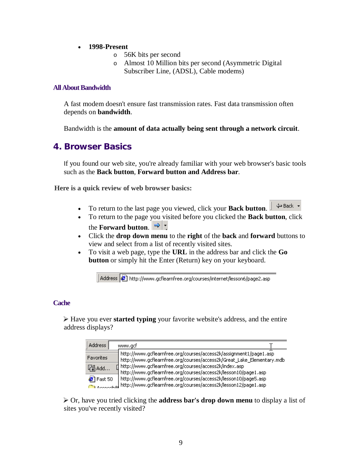- **1998-Present**
	- o 56K bits per second
	- o Almost 10 Million bits per second (Asymmetric Digital Subscriber Line, (ADSL), Cable modems)

# **All About Bandwidth**

A fast modem doesn't ensure fast transmission rates. Fast data transmission often depends on **bandwidth**.

Bandwidth is the **amount of data actually being sent through a network circuit**.

# **4. Browser Basics**

If you found our web site, you're already familiar with your web browser's basic tools such as the **Back button**, **Forward button and Address bar**.

**Here is a quick review of web browser basics:**

- To return to the last page you viewed, click your **Back button**.  $\parallel$   $\Leftrightarrow$  Back •
- To return to the page you visited before you clicked the **Back button**, click the **Forward button**.  $\Rightarrow$   $\frac{1}{1}$ .
- Click the **drop down menu** to the **right** of the **back** and **forward** buttons to view and select from a list of recently visited sites.
- To visit a web page, type the **URL** in the address bar and click the **Go button** or simply hit the Enter (Return) key on your keyboard.

Address (8) http://www.gcflearnfree.org/courses/internet/lesson6/page2.asp

#### **Cache**

Have you ever **started typing** your favorite website's address, and the entire address displays?

| Address                    | www.gcf                                                                                                                                      |
|----------------------------|----------------------------------------------------------------------------------------------------------------------------------------------|
| <b>Favorites</b>           | http://www.gcflearnfree.org/courses/access2k/assignment1/page1.asp<br>http://www.gcflearnfree.org/courses/access2k/Great_Lake_Elementary.mdb |
| 臋add…                      | [] http://www.gcflearnfree.org/courses/access2k/index.asp<br>http://www.gcflearnfree.org/courses/access2k/lesson10/page1.asp                 |
| $\left( 5 \right)$ Fast 50 | http://www.gcflearnfree.org/courses/access2k/lesson10/page5.asp<br>According http://www.gcflearnfree.org/courses/access2k/lesson12/page1.asp |

Or, have you tried clicking the **address bar's drop down menu** to display a list of sites you've recently visited?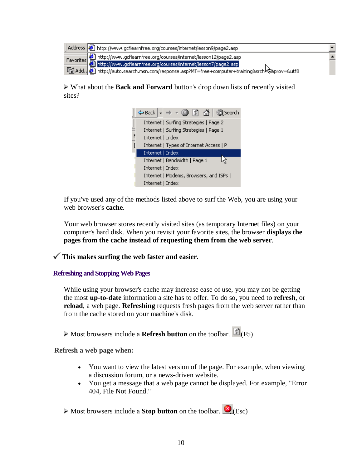| Address <b>6</b> http://www.gcflearnfree.org/courses/internet/lesson9/page2.asp                                                                      |  |
|------------------------------------------------------------------------------------------------------------------------------------------------------|--|
| Favorites <b>8</b> http://www.gcflearnfree.org/courses/internet/lesson12/page2.asp<br>http://www.gcflearnfree.org/courses/internet/lesson7/page2.asp |  |
|                                                                                                                                                      |  |
| Randd. El http://auto.search.msn.com/response.asp?MT=free+computer+training&srch4\$&prov=&utf8                                                       |  |

What about the **Back and Forward** button's drop down lists of recently visited sites?



If you've used any of the methods listed above to surf the Web, you are using your web browser's **cache**.

Your web browser stores recently visited sites (as temporary Internet files) on your computer's hard disk. When you revisit your favorite sites, the browser **displays the pages from the cache instead of requesting them from the web server**.

**This makes surfing the web faster and easier.** 

**Refreshing and Stopping Web Pages**

While using your browser's cache may increase ease of use, you may not be getting the most **up-to-date** information a site has to offer. To do so, you need to **refresh**, or **reload**, a web page. **Refreshing** requests fresh pages from the web server rather than from the cache stored on your machine's disk.

Most browsers include a **Refresh button** on the toolbar. **(2)**(F5)

**Refresh a web page when:**

- You want to view the latest version of the page. For example, when viewing a discussion forum, or a news-driven website.
- You get a message that a web page cannot be displayed. For example, "Error 404, File Not Found."

Most browsers include a **Stop button** on the toolbar. **(Esc)**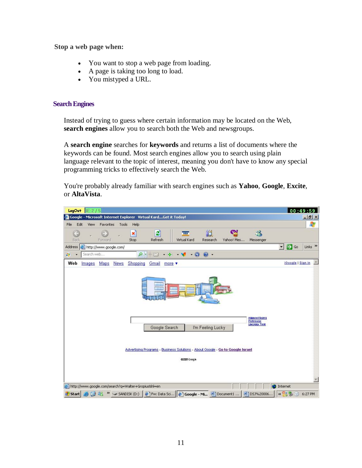**Stop a web page when:**

- You want to stop a web page from loading.
- A page is taking too long to load.
- You mistyped a URL.

# **Search Engines**

Instead of trying to guess where certain information may be located on the Web, **search engines** allow you to search both the Web and newsgroups.

A **search engine** searches for **keywords** and returns a list of documents where the keywords can be found. Most search engines allow you to search using plain language relevant to the topic of interest, meaning you don't have to know any special programming tricks to effectively search the Web.

You're probably already familiar with search engines such as **Yahoo**, **Google**, **Excite**, or **AltaVista**.

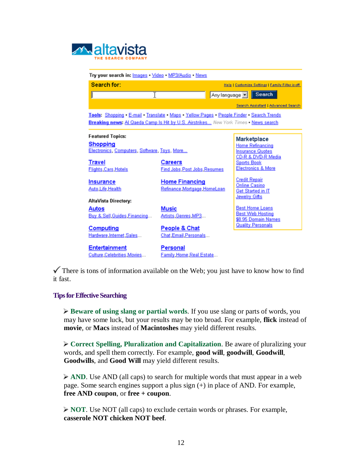| <b>Maltavista</b> |  |                    |
|-------------------|--|--------------------|
|                   |  | THE SEARCH COMPANY |

| Try your search in: Images Video MP3/Audio News                                                                                                                                   |                                                      |                                                                          |
|-----------------------------------------------------------------------------------------------------------------------------------------------------------------------------------|------------------------------------------------------|--------------------------------------------------------------------------|
| Search for:                                                                                                                                                                       |                                                      | <b>Help   Customize Settings   Family Filter is off</b>                  |
|                                                                                                                                                                                   |                                                      | Anylanguage <b>F</b>   Search                                            |
|                                                                                                                                                                                   |                                                      | Search Assistant   Advanced Search                                       |
| Tools: Shopping - E-mail - Translate - Maps - Yellow Pages - People Finder - Search Trends<br>Breaking news: Al Qaeda Camp Is Hit by U.S. Airstrikes New York Times . News search |                                                      |                                                                          |
| <b>Featured Topics:</b>                                                                                                                                                           |                                                      | Marketplace                                                              |
| <b>Shopping</b><br>Electronics, Computers, Software, Toys, More                                                                                                                   |                                                      | <b>Home Refinancing</b><br><b>Insurance Quotes</b><br>CD-R & DVD-R Media |
| <b>Travel</b><br><b>Flights Cars Hotels</b>                                                                                                                                       | <b>Careers</b><br><b>Find Jobs Post Jobs Resumes</b> | <b>Sports Book</b><br><b>Electronics &amp; More</b>                      |
| <b>Insurance</b><br>Auto Life Health                                                                                                                                              | <b>Home Financing</b><br>Refinance Mortgage HomeLoan | <b>Credit Repair</b><br><b>Online Casino</b><br>Get Started in IT        |
| AltaVista Directory:                                                                                                                                                              |                                                      | Jewelry Gifts                                                            |
| Autos<br>Buy & Sell, Guides, Financing                                                                                                                                            | Music<br>Artists Genres MP3                          | <b>Best Home Loans</b><br><b>Best Web Hosting</b><br>\$8.95 Domain Names |
| <b>Computing</b><br>Hardware Internet Sales                                                                                                                                       | People & Chat<br>Chat, Email, Personals              | <b>Quality Personals</b>                                                 |
| <b>Entertainment</b><br>Culture Celebrities Movies                                                                                                                                | Personal<br>Family Home Real Estate                  |                                                                          |

 $\checkmark$  There is tons of information available on the Web; you just have to know how to find it fast.

# **Tips for Effective Searching**

**Beware of using slang or partial words**. If you use slang or parts of words, you may have some luck, but your results may be too broad. For example, **flick** instead of **movie**, or **Macs** instead of **Macintoshes** may yield different results.

**Correct Spelling, Pluralization and Capitalization**. Be aware of pluralizing your words, and spell them correctly. For example, **good will**, **goodwill**, **Goodwill**, **Goodwills**, and **Good Will** may yield different results.

AND. Use AND (all caps) to search for multiple words that must appear in a web page. Some search engines support a plus sign (+) in place of AND. For example, **free AND coupon**, or **free + coupon**.

**NOT**. Use NOT (all caps) to exclude certain words or phrases. For example, **casserole NOT chicken NOT beef**.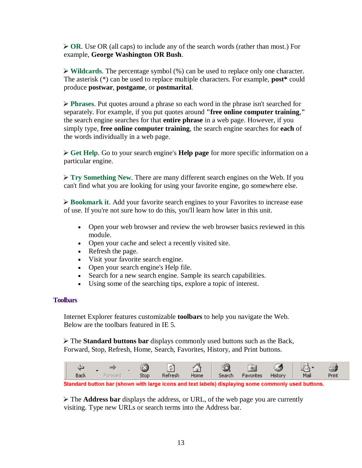▶ OR. Use OR (all caps) to include any of the search words (rather than most.) For example, **George Washington OR Bush**.

**Wildcards**. The percentage symbol (%) can be used to replace only one character. The asterisk (\*) can be used to replace multiple characters. For example, **post\*** could produce **postwar**, **postgame**, or **postmarital**.

**Phrases.** Put quotes around a phrase so each word in the phrase isn't searched for separately. For example, if you put quotes around **"free online computer training**,**"** the search engine searches for that **entire phrase** in a web page. However, if you simply type, **free online computer training**, the search engine searches for **each** of the words individually in a web page.

**Get Help**. Go to your search engine's **Help page** for more specific information on a particular engine.

**Try Something New.** There are many different search engines on the Web. If you can't find what you are looking for using your favorite engine, go somewhere else.

**Bookmark it**. Add your favorite search engines to your Favorites to increase ease of use. If you're not sure how to do this, you'll learn how later in this unit.

- Open your web browser and review the web browser basics reviewed in this module.
- Open your cache and select a recently visited site.
- Refresh the page.
- Visit your favorite search engine.
- Open your search engine's Help file.
- Search for a new search engine. Sample its search capabilities.
- Using some of the searching tips, explore a topic of interest.

# **Toolbars**

Internet Explorer features customizable **toolbars** to help you navigate the Web. Below are the toolbars featured in IE 5.

The **Standard buttons bar** displays commonly used buttons such as the Back, Forward, Stop, Refresh, Home, Search, Favorites, History, and Print buttons.



Standard button bar (shown with large icons and text labels) displaying some commonly used buttons.

The **Address bar** displays the address, or URL, of the web page you are currently visiting. Type new URLs or search terms into the Address bar.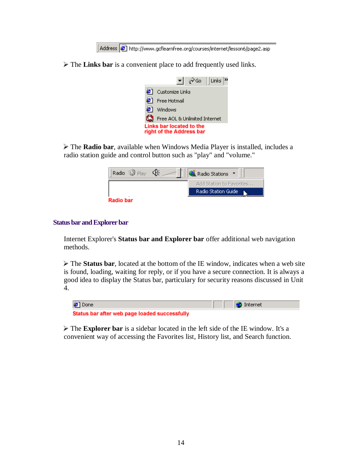Address  $\bigcirc$  http://www.gcflearnfree.org/courses/internet/lesson6/page2.asp

The **Links bar** is a convenient place to add frequently used links.

|                                                      | $\mathcal{O}$ Go<br>l Links<br>▾╎ |  |
|------------------------------------------------------|-----------------------------------|--|
|                                                      | Customize Links                   |  |
|                                                      | Free Hotmail                      |  |
|                                                      | Windows                           |  |
|                                                      | Free AOL & Unlimited Internet     |  |
| Links bar located to the<br>right of the Address bar |                                   |  |

The **Radio bar**, available when Windows Media Player is installed, includes a radio station guide and control button such as "play" and "volume."



#### **Status bar and Explorer bar**

Internet Explorer's **Status bar and Explorer bar** offer additional web navigation methods.

The **Status bar**, located at the bottom of the IE window, indicates when a web site is found, loading, waiting for reply, or if you have a secure connection. It is always a good idea to display the Status bar, particulary for security reasons discussed in Unit 4.

| <b>a</b> Done                                 | <b>O</b> Internet |
|-----------------------------------------------|-------------------|
| Status bar after web page loaded successfully |                   |

The **Explorer bar** is a sidebar located in the left side of the IE window. It's a convenient way of accessing the Favorites list, History list, and Search function.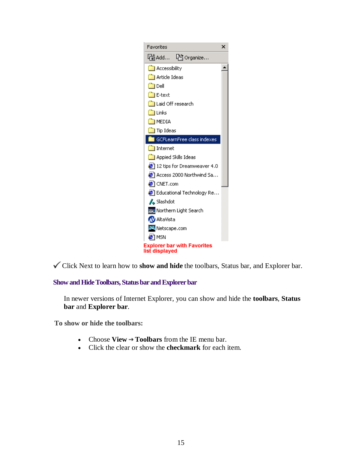

Click Next to learn how to **show and hide** the toolbars, Status bar, and Explorer bar.

**Show and Hide Toolbars, Status bar and Explorer bar**

In newer versions of Internet Explorer, you can show and hide the **toolbars**, **Status bar** and **Explorer bar**.

**To show or hide the toolbars:**

- Choose **View Toolbars** from the IE menu bar.
- Click the clear or show the **checkmark** for each item.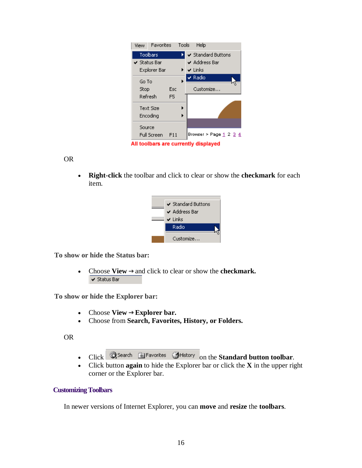| Favorites<br>View                    |                | Tools | Help                                              |
|--------------------------------------|----------------|-------|---------------------------------------------------|
| Toolbars                             |                |       | ✔ Standard Buttons                                |
| $\checkmark$ Status Bar              |                |       | $\vee$ Address Bar                                |
| Explorer Bar                         |                |       | $\blacktriangleright$ $\blacktriangleright$ Links |
| Go To                                |                |       | $\sqrt{ }$ Radio                                  |
| Stop                                 | Esc            |       | Customize                                         |
| Refresh                              | F <sub>5</sub> |       |                                                   |
| Text Size                            |                |       |                                                   |
| Encoding                             |                |       |                                                   |
| Source                               |                |       |                                                   |
| <b>Full Screen</b>                   | F11            |       | Browser > Page <u>1</u> 2 <u>3</u> <u>4</u>       |
| All toolbars are currently displayed |                |       |                                                   |

OR

 **Right-click** the toolbar and click to clear or show the **checkmark** for each item.



**To show or hide the Status bar:**

• Choose  $View \rightarrow$  and click to clear or show the **checkmark.**  $\checkmark$  Status Bar

**To show or hide the Explorer bar:**

- Choose  $View \rightarrow Explorer$  bar.
- Choose from **Search, Favorites, History, or Folders.**

OR

- Click **QSearch Expresives** SHistory on the **Standard button toolbar**.
- Click button **again** to hide the Explorer bar or click the **X** in the upper right corner or the Explorer bar.

# **Customizing Toolbars**

In newer versions of Internet Explorer, you can **move** and **resize** the **toolbars**.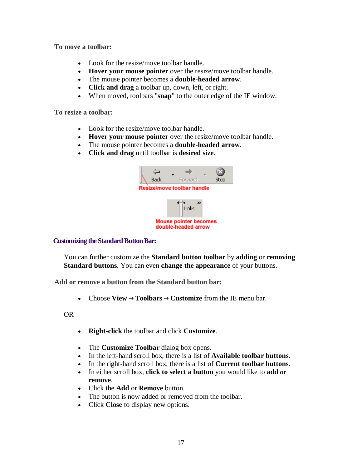**To move a toolbar:**

- Look for the resize/move toolbar handle.
- **Hover your mouse pointer** over the resize/move toolbar handle.
- The mouse pointer becomes a **double-headed arrow**.
- **Click and drag** a toolbar up, down, left, or right.
- When moved, toolbars "**snap**" to the outer edge of the IE window.

**To resize a toolbar:**

- Look for the resize/move toolbar handle.
- **Hover your mouse pointer** over the resize/move toolbar handle.
- The mouse pointer becomes a **double-headed arrow**.
- **Click and drag** until toolbar is **desired size**.



# **Customizing the Standard Button Bar:**

You can further customize the **Standard button toolbar** by **adding** or **removing Standard buttons**. You can even **change the appearance** of your buttons.

**Add or remove a button from the Standard button bar:**

• Choose **View**  $\rightarrow$  **Toolbars**  $\rightarrow$  **Customize** from the IE menu bar.

OR

- **Right-click** the toolbar and click **Customize**.
- The **Customize Toolbar** dialog box opens.
- In the left-hand scroll box, there is a list of **Available toolbar buttons**.
- In the right-hand scroll box, there is a list of **Current toolbar buttons**.
- In either scroll box, **click to select a button** you would like to **add** *or* **remove**.
- Click the **Add** or **Remove** button.
- The button is now added or removed from the toolbar.
- Click **Close** to display new options.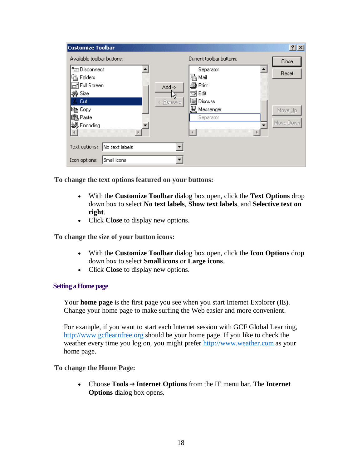| <b>Customize Toolbar</b>                                                                                                                                       |                                                                                                 | ?                             |
|----------------------------------------------------------------------------------------------------------------------------------------------------------------|-------------------------------------------------------------------------------------------------|-------------------------------|
| Available toolbar buttons:                                                                                                                                     | Current toolbar buttons:                                                                        | Close                         |
| <b>Keep Disconnect</b><br>in Folders<br>$\overline{\Box}$ Full Screen<br>$Add \rightarrow$<br>∰ Size<br>Cut<br><- Remove<br>lea Copy<br>68 Paste<br>@ Encoding | Separator<br>ᅬ<br>Mail<br>∰ Print<br>⊠∕Edit<br>Ķ<br>₩<br>Discuss<br>2<br>Messenger<br>Separator | Reset<br>Move Up<br>Move Down |
| No text labels<br>Text options:                                                                                                                                |                                                                                                 |                               |
| Small icons<br>Icon options:                                                                                                                                   |                                                                                                 |                               |

**To change the text options featured on your buttons:**

- With the **Customize Toolbar** dialog box open, click the **Text Options** drop down box to select **No text labels**, **Show text labels**, and **Selective text on right**.
- Click **Close** to display new options.

**To change the size of your button icons:**

- With the **Customize Toolbar** dialog box open, click the **Icon Options** drop down box to select **Small icons** or **Large icons**.
- Click **Close** to display new options.

# **Setting a Home page**

Your **home page** is the first page you see when you start Internet Explorer (IE). Change your home page to make surfing the Web easier and more convenient.

For example, if you want to start each Internet session with GCF Global Learning, http://www.gcflearnfree.org should be your home page. If you like to check the weather every time you log on, you might prefer http://www.weather.com as your home page.

# **To change the Home Page:**

 Choose **Tools Internet Options** from the IE menu bar. The **Internet Options** dialog box opens.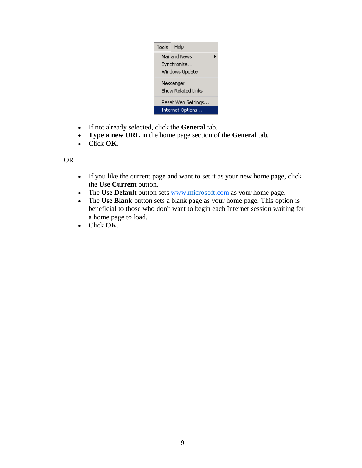| Tools              | Help           |  |
|--------------------|----------------|--|
|                    | Mail and News  |  |
|                    | Synchronize    |  |
|                    | Windows Update |  |
| Messenger          |                |  |
| Show Related Links |                |  |
| Reset Web Settings |                |  |
| Internet Options   |                |  |

- If not already selected, click the **General** tab.
- **Type a new URL** in the home page section of the **General** tab.
- Click **OK**.

# OR

- If you like the current page and want to set it as your new home page, click the **Use Current** button.
- The Use Default button sets www.microsoft.com as your home page.
- The **Use Blank** button sets a blank page as your home page. This option is beneficial to those who don't want to begin each Internet session waiting for a home page to load.
- Click **OK**.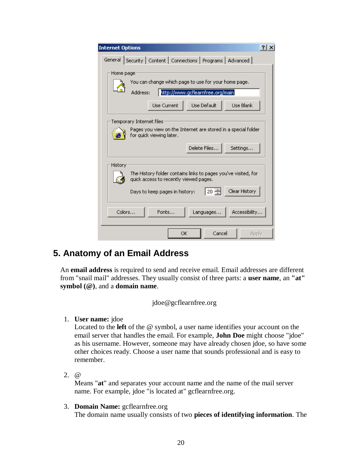| <b>Internet Options</b><br>21x                                                                                        |
|-----------------------------------------------------------------------------------------------------------------------|
| General Security   Content   Connections   Programs   Advanced                                                        |
| Home page<br>You can change which page to use for your home page.                                                     |
| http://www.gcflearnfree.org/main<br>Address:                                                                          |
| Use Default<br><b>Lise Blank</b><br><b>Use Current</b>                                                                |
| Temporary Internet files<br>Pages you view on the Internet are stored in a special folder<br>for quick viewing later. |
| Delete Files<br>Settings                                                                                              |
| History<br>The History folder contains links to pages you've visited, for                                             |
| quick access to recently viewed pages.                                                                                |
| Clear History<br> 20 引<br>Days to keep pages in history:                                                              |
| Accessibility<br>Colors<br>Fonts<br>Languages                                                                         |
| Cancel<br>ОK<br>Apply                                                                                                 |

# **5. Anatomy of an Email Address**

An **email address** is required to send and receive email. Email addresses are different from "snail mail" addresses. They usually consist of three parts: a **user name**, an **"at" symbol (@)**, and a **domain name**.

jdoe@gcflearnfree.org

1. **User name:** jdoe

Located to the **left** of the @ symbol, a user name identifies your account on the email server that handles the email. For example, **John Doe** might choose "jdoe" as his username. However, someone may have already chosen jdoe, so have some other choices ready. Choose a user name that sounds professional and is easy to remember.

2. @

Means "**at**" and separates your account name and the name of the mail server name. For example, jdoe "is located at" gcflearnfree.org.

3. **Domain Name:** gcflearnfree.org The domain name usually consists of two **pieces of identifying information**. The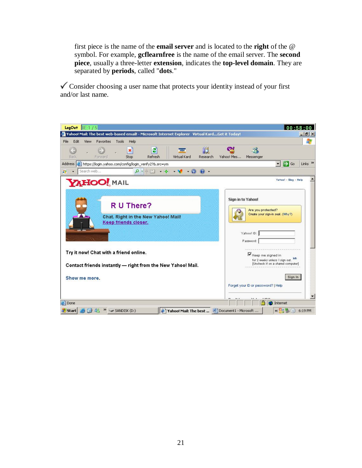first piece is the name of the **email server** and is located to the **right** of the @ symbol. For example, **gcflearnfree** is the name of the email server. The **second piece**, usually a three-letter **extension**, indicates the **top-level domain**. They are separated by **periods**, called "**dots**."

 $\checkmark$  Consider choosing a user name that protects your identity instead of your first and/or last name.

| LogOut<br>$+5$<br>IIF 1                                                                                    | 00:58:00                                                     |
|------------------------------------------------------------------------------------------------------------|--------------------------------------------------------------|
| Yahoo! Mail: The best web-based email! - Microsoft Internet Explorer Virtual KardGet it Today!             | $   \mathbb{R}$ $\times$                                     |
| Edit<br>File<br>View<br>Favorites<br>Tools<br>Help                                                         | $\ddot{\ast}$                                                |
| e<br>$-14$<br>×<br><b>VISA</b><br>Virtual Kard<br>Forward<br>Back<br>Stop<br>Refresh<br>Research           | Œ.<br>38<br>Yahoo! Mes<br>Messenger                          |
| <b>Address</b><br>https://login.yahoo.com/config/login_verify2?&.src=ym                                    | ∣→<br>Links <sup>&gt;&gt;</sup><br>▾<br>Go                   |
| Search web<br>$ -$<br>$\bullet$ -<br>$\mathbf{Q}$<br>£7                                                    |                                                              |
| YAHOO! MAIL                                                                                                | Yanga! - Blag - Help                                         |
| R U There?                                                                                                 | Sign in to Yahoo!<br>Are you protected?                      |
| Chat. Right in the New Yahoo! Mail!<br>Keep friends closer.                                                | Create your sign-in seal. (Why?)                             |
|                                                                                                            | Yahoo! ID:<br>Plassword:                                     |
| Try it now! Chat with a friend online.                                                                     | Keep me signed in<br>la to<br>for 2 weeks unless I sign out. |
| Contact friends instantly - right from the New Yahoo! Mail.                                                | [Uncheck if on a shared computer]                            |
| Show me more.                                                                                              | Sign In                                                      |
|                                                                                                            | Forget your ID or password?   Help                           |
| <b>B</b> Done                                                                                              | Internet                                                     |
| 88<br>$\rightarrow$ SANDISK (D:)<br>圈<br>Yahoo! Mail: The best  [40] Document1 - Microsoft<br><b>Start</b> | $\alpha$ $\beta$<br>۰<br>6:19 PM                             |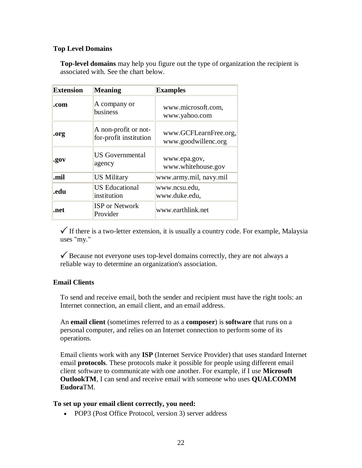# **Top Level Domains**

**Top-level domains** may help you figure out the type of organization the recipient is associated with. See the chart below.

| <b>Extension</b> | <b>Meaning</b>                                 | <b>Examples</b>                              |
|------------------|------------------------------------------------|----------------------------------------------|
| .com             | A company or<br>business                       | www.microsoft.com,<br>www.yahoo.com          |
| .org             | A non-profit or not-<br>for-profit institution | www.GCFLearnFree.org,<br>www.goodwillenc.org |
| .gov             | <b>US</b> Governmental<br>agency               | www.epa.gov,<br>www.whitehouse.gov           |
| .mil             | <b>US Military</b>                             | www.army.mil, navy.mil                       |
| .edu             | <b>US</b> Educational<br>institution           | www.ncsu.edu,<br>www.duke.edu,               |
| .net             | <b>ISP</b> or Network<br>Provider              | www.earthlink.net                            |

 $\checkmark$  If there is a two-letter extension, it is usually a country code. For example, Malaysia uses "my."

Because not everyone uses top-level domains correctly, they are not always a reliable way to determine an organization's association.

# **Email Clients**

To send and receive email, both the sender and recipient must have the right tools: an Internet connection, an email client, and an email address.

An **email client** (sometimes referred to as a **composer**) is **software** that runs on a personal computer, and relies on an Internet connection to perform some of its operations.

Email clients work with any **ISP** (Internet Service Provider) that uses standard Internet email **protocols**. These protocols make it possible for people using different email client software to communicate with one another. For example, if I use **Microsoft OutlookTM**, I can send and receive email with someone who uses **QUALCOMM Eudora**TM.

# **To set up your email client correctly, you need:**

• POP3 (Post Office Protocol, version 3) server address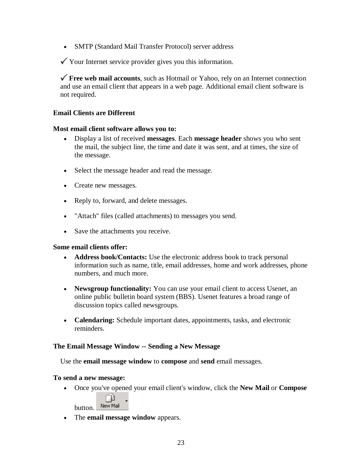SMTP (Standard Mail Transfer Protocol) server address

 $\checkmark$  Your Internet service provider gives you this information.

**Free web mail accounts**, such as Hotmail or Yahoo, rely on an Internet connection and use an email client that appears in a web page. Additional email client software is not required.

# **Email Clients are Different**

# **Most email client software allows you to:**

- Display a list of received **messages**. Each **message header** shows you who sent the mail, the subject line, the time and date it was sent, and at times, the size of the message.
- Select the message header and read the message.
- Create new messages.
- Reply to, forward, and delete messages.
- "Attach" files (called attachments) to messages you send.
- Save the attachments you receive.

# **Some email clients offer:**

- **Address book/Contacts:** Use the electronic address book to track personal information such as name, title, email addresses, home and work addresses, phone numbers, and much more.
- Newsgroup functionality: You can use your email client to access Usenet, an online public bulletin board system (BBS). Usenet features a broad range of discussion topics called newsgroups.
- **Calendaring:** Schedule important dates, appointments, tasks, and electronic reminders.

# **The Email Message Window -- Sending a New Message**

Use the **email message window** to **compose** and **send** email messages.

# **To send a new message:**

Once you've opened your email client's window, click the **New Mail** or **Compose**

٦D. button. New Mail

The **email message window** appears.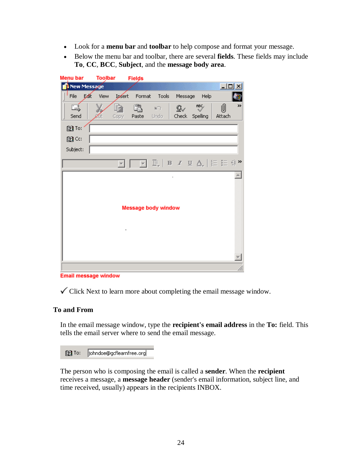- Look for a **menu bar** and **toolbar** to help compose and format your message.
- Below the menu bar and toolbar, there are several **fields**. These fields may include **To**, **CC**, **BCC**, **Subject**, and the **message body area**.

| $\Box$ u $\times$<br>New Message<br>D∕ll<br>Format Tools Message<br>File<br>View<br>Help<br><b>Legent</b><br>»<br>RBC/<br>ħ<br>ß.<br>⋓<br>E,<br>$-107$<br>g,<br>Check -<br>Attach<br>Send<br>Paste Undo<br>Spelling<br>Copy<br>图 To:<br>图CG<br>Subject:<br>$\boxed{\color{purple}{\blacksquare}}\; \boxed{\color{purple}{\blacksquare}}\; \boxed{\color{purple}{\blacksquare}}\; \boxed{\color{purple}{\blacksquare}}\; \boxed{\color{purple}{\blacksquare}}\; \boxed{\color{purple}{\blacksquare}}\; \boxed{\color{purple}{\blacksquare}}\; \boxed{\color{purple}{\blacksquare}}\; \boxed{\color{purple}{\blacksquare}}\; \boxed{\color{purple}{\blacksquare}}\; \boxed{\color{purple}{\blacksquare}}\; \boxed{\color{purple}{\blacksquare}}\; \boxed{\color{purple}{\blacksquare}}\; \boxed{\color{purple}{\blacksquare}}\; \boxed{\color{purple}{\blacksquare}}\; \boxed{\color{purple}{\blacks$<br><b>Message body window</b> | Menu bar | <b>Toolbar</b> | <b>Fields</b> |  |  |  |  |  |  |  |
|-----------------------------------------------------------------------------------------------------------------------------------------------------------------------------------------------------------------------------------------------------------------------------------------------------------------------------------------------------------------------------------------------------------------------------------------------------------------------------------------------------------------------------------------------------------------------------------------------------------------------------------------------------------------------------------------------------------------------------------------------------------------------------------------------------------------------------------------------------------------------------------------------------------------------------------|----------|----------------|---------------|--|--|--|--|--|--|--|
|                                                                                                                                                                                                                                                                                                                                                                                                                                                                                                                                                                                                                                                                                                                                                                                                                                                                                                                                   |          |                |               |  |  |  |  |  |  |  |
|                                                                                                                                                                                                                                                                                                                                                                                                                                                                                                                                                                                                                                                                                                                                                                                                                                                                                                                                   |          |                |               |  |  |  |  |  |  |  |
|                                                                                                                                                                                                                                                                                                                                                                                                                                                                                                                                                                                                                                                                                                                                                                                                                                                                                                                                   |          |                |               |  |  |  |  |  |  |  |
|                                                                                                                                                                                                                                                                                                                                                                                                                                                                                                                                                                                                                                                                                                                                                                                                                                                                                                                                   |          |                |               |  |  |  |  |  |  |  |
|                                                                                                                                                                                                                                                                                                                                                                                                                                                                                                                                                                                                                                                                                                                                                                                                                                                                                                                                   |          |                |               |  |  |  |  |  |  |  |
|                                                                                                                                                                                                                                                                                                                                                                                                                                                                                                                                                                                                                                                                                                                                                                                                                                                                                                                                   |          |                |               |  |  |  |  |  |  |  |
|                                                                                                                                                                                                                                                                                                                                                                                                                                                                                                                                                                                                                                                                                                                                                                                                                                                                                                                                   |          |                |               |  |  |  |  |  |  |  |
|                                                                                                                                                                                                                                                                                                                                                                                                                                                                                                                                                                                                                                                                                                                                                                                                                                                                                                                                   |          |                |               |  |  |  |  |  |  |  |
|                                                                                                                                                                                                                                                                                                                                                                                                                                                                                                                                                                                                                                                                                                                                                                                                                                                                                                                                   |          |                |               |  |  |  |  |  |  |  |

**Email message window** 

 $\checkmark$  Click Next to learn more about completing the email message window.

# **To and From**

In the email message window, type the **recipient's email address** in the **To:** field. This tells the email server where to send the email message.

[8] To: |johndoe@gcflearnfree.org

The person who is composing the email is called a **sender**. When the **recipient** receives a message, a **message header** (sender's email information, subject line, and time received, usually) appears in the recipients INBOX.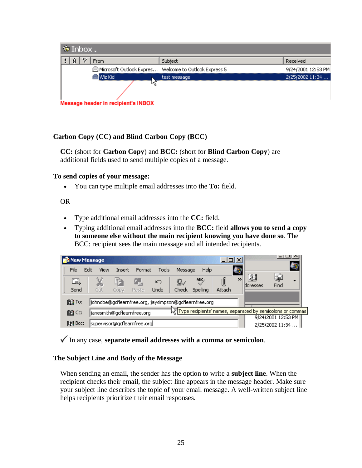| $\otimes$ Inbox.                                      |              |                    |
|-------------------------------------------------------|--------------|--------------------|
| ▽<br>Ø<br><b>From</b>                                 | Subject      | Received           |
| Microsoft Outlook Expres Welcome to Outlook Express 5 |              | 9/24/2001 12:53 PM |
| Wiz Kid                                               | test message | 2/25/2002 11:34    |
|                                                       |              |                    |
| <b>Message header in recipient's INBOX</b>            |              |                    |

# **Carbon Copy (CC) and Blind Carbon Copy (BCC)**

**CC:** (short for **Carbon Copy**) and **BCC:** (short for **Blind Carbon Copy**) are additional fields used to send multiple copies of a message.

# **To send copies of your message:**

You can type multiple email addresses into the **To:** field.

# OR

- Type additional email addresses into the **CC:** field.
- Typing additional email addresses into the **BCC:** field **allows you to send a copy to someone else without the main recipient knowing you have done so**. The BCC: recipient sees the main message and all intended recipients.

| <b>B</b> New Message |                                                       |        |        |             |         |          | $ \Box$ $\times$ |                  |                                                              |                                       |                          |
|----------------------|-------------------------------------------------------|--------|--------|-------------|---------|----------|------------------|------------------|--------------------------------------------------------------|---------------------------------------|--------------------------|
| File                 | Edit<br>View                                          | Insert | Format | Tools       | Message | Help     |                  | $\boldsymbol{B}$ |                                                              |                                       |                          |
| Ŀ,                   | X                                                     | fð     | Łe,    | ഹ           | ℒ       | ABC      | ⋓                | >>               | H<br><b>H</b> dresses                                        | 医<br>Find                             | $\overline{\phantom{a}}$ |
| Send                 | Cut                                                   | Copy   | Paste  | <b>Undo</b> | Check   | Spelling | Attach           |                  |                                                              |                                       |                          |
| 图 To:                | johndoe@gcflearnfree.org, jaysimpson@gcflearnfree.org |        |        |             |         |          |                  |                  |                                                              |                                       |                          |
| 图CC:                 | janesmith@gcflearnfree.org                            |        |        |             |         |          |                  |                  | 시기Type recipients' names, separated by semicolons or commas! |                                       |                          |
| 图 Bcc:               | supervisor@gcflearnfree.org                           |        |        |             |         |          |                  |                  |                                                              | 9/24/2001 12:53 PM<br>2/25/2002 11:34 |                          |

In any case, **separate email addresses with a comma or semicolon**.

# **The Subject Line and Body of the Message**

When sending an email, the sender has the option to write a **subject line**. When the recipient checks their email, the subject line appears in the message header. Make sure your subject line describes the topic of your email message. A well-written subject line helps recipients prioritize their email responses.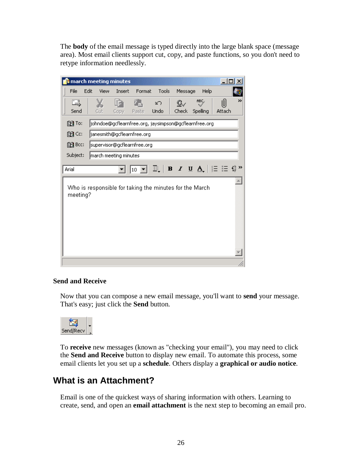The **body** of the email message is typed directly into the large blank space (message area). Most email clients support cut, copy, and paste functions, so you don't need to retype information needlessly.



# **Send and Receive**

Now that you can compose a new email message, you'll want to **send** your message. That's easy; just click the **Send** button.



To **receive** new messages (known as "checking your email"), you may need to click the **Send and Receive** button to display new email. To automate this process, some email clients let you set up a **schedule**. Others display a **graphical or audio notice**.

# **What is an Attachment?**

Email is one of the quickest ways of sharing information with others. Learning to create, send, and open an **email attachment** is the next step to becoming an email pro.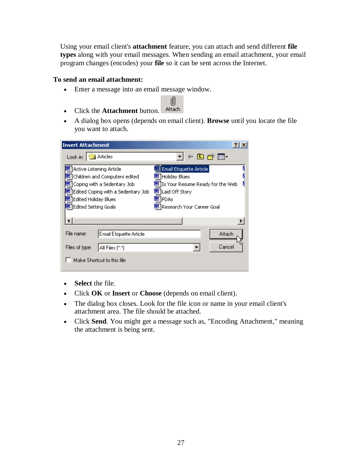Using your email client's **attachment** feature, you can attach and send different **file types** along with your email messages. When sending an email attachment, your email program changes (encodes) your **file** so it can be sent across the Internet.

# **To send an email attachment:**

- Enter a message into an email message window.
- Click the **Attachment** button. Attach
- A dialog box opens (depends on email client). **Browse** until you locate the file you want to attach.

U)

| <b>Insert Attachment</b>                                                                                                                                                                       |                                                                                                                                                          |        |  |  |  |  |
|------------------------------------------------------------------------------------------------------------------------------------------------------------------------------------------------|----------------------------------------------------------------------------------------------------------------------------------------------------------|--------|--|--|--|--|
| Look in: $\bigcirc$ Articles                                                                                                                                                                   | ←白び囲・                                                                                                                                                    |        |  |  |  |  |
| Active Listening Article<br>Children and Computers edited<br>Coping with a Sedentary Job-<br>Edited Coping with a Sedentary Job-<br><b>Edited Holiday Blues</b><br><b>Edited Setting Goals</b> | Email Etiquette Article<br>网 Holiday Blues<br>٢<br>函 Is Your Resume Ready for the Web<br>Laid Off Story<br><b>SM</b> PDAs<br>网 Research Your Career Goal |        |  |  |  |  |
|                                                                                                                                                                                                |                                                                                                                                                          |        |  |  |  |  |
| File name:<br>Email Etiquette Article                                                                                                                                                          |                                                                                                                                                          | Attach |  |  |  |  |
| Files of type:<br>All Files [*.*]                                                                                                                                                              |                                                                                                                                                          | Cancel |  |  |  |  |
| Make Shortcut to this file                                                                                                                                                                     |                                                                                                                                                          |        |  |  |  |  |

- **Select** the file.
- Click **OK** or **Insert** or **Choose** (depends on email client).
- The dialog box closes. Look for the file icon or name in your email client's attachment area. The file should be attached.
- Click **Send**. You might get a message such as, "Encoding Attachment," meaning the attachment is being sent.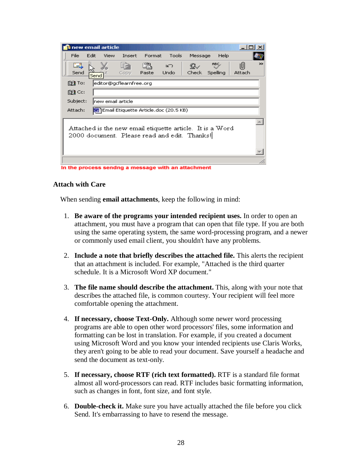| s new email article                                                                                       |      |                    |                         |        |                                                    |         |                  |             |               |
|-----------------------------------------------------------------------------------------------------------|------|--------------------|-------------------------|--------|----------------------------------------------------|---------|------------------|-------------|---------------|
| File                                                                                                      | Edit | View               | Insert                  | Format | Tools                                              | Message | Help             |             |               |
| E<br>Send                                                                                                 | Send |                    | Ħ<br>Copy               | Paste  | బా<br>Undo                                         | Check   | ABC.<br>Spelling | U<br>Attach | $\rightarrow$ |
| 1391 To:                                                                                                  |      |                    | editor@gcflearnfree.org |        |                                                    |         |                  |             |               |
| 1391 Cc:                                                                                                  |      |                    |                         |        |                                                    |         |                  |             |               |
| Subject:                                                                                                  |      | lnew email article |                         |        |                                                    |         |                  |             |               |
| Email Etiquette Article.doc (20.5 KB)<br>Attach:                                                          |      |                    |                         |        |                                                    |         |                  |             |               |
| Attached is the new email etiquette article. It is a Word<br>2000 document. Please read and edit. Thanks! |      |                    |                         |        |                                                    |         |                  |             |               |
|                                                                                                           |      |                    |                         |        |                                                    |         |                  |             |               |
|                                                                                                           |      |                    |                         |        |                                                    |         |                  |             |               |
|                                                                                                           |      |                    |                         |        | In the process sendng a message with an attachment |         |                  |             |               |

# **Attach with Care**

When sending **email attachments**, keep the following in mind:

- 1. **Be aware of the programs your intended recipient uses.** In order to open an attachment, you must have a program that can open that file type. If you are both using the same operating system, the same word-processing program, and a newer or commonly used email client, you shouldn't have any problems.
- 2. **Include a note that briefly describes the attached file.** This alerts the recipient that an attachment is included. For example, "Attached is the third quarter schedule. It is a Microsoft Word XP document."
- 3. **The file name should describe the attachment.** This, along with your note that describes the attached file, is common courtesy. Your recipient will feel more comfortable opening the attachment.
- 4. **If necessary, choose Text-Only.** Although some newer word processing programs are able to open other word processors' files, some information and formatting can be lost in translation. For example, if you created a document using Microsoft Word and you know your intended recipients use Claris Works, they aren't going to be able to read your document. Save yourself a headache and send the document as text-only.
- 5. **If necessary, choose RTF (rich text formatted).** RTF is a standard file format almost all word-processors can read. RTF includes basic formatting information, such as changes in font, font size, and font style.
- 6. **Double-check it.** Make sure you have actually attached the file before you click Send. It's embarrassing to have to resend the message.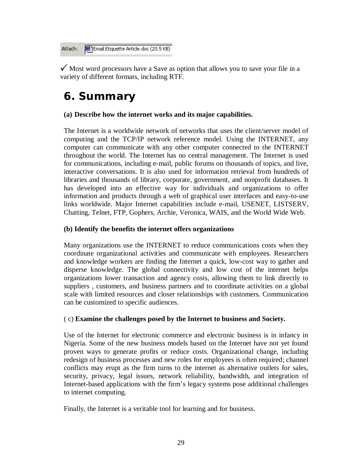Email Etiquette Article.doc (20.5 KB) Attach:

 $\checkmark$  Most word processors have a Save as option that allows you to save your file in a variety of different formats, including RTF.

# **6. Summary**

# **(a) Describe how the internet works and its major capabilities.**

The Internet is a worldwide network of networks that uses the client/server model of computing and the TCP/IP network reference model. Using the INTERNET, any computer can communicate with any other computer connected to the INTERNET throughout the world. The Internet has no central management. The Internet is used for communications, including e-mail, public forums on thousands of topics, and live, interactive conversations. It is also used for information retrieval from hundreds of libraries and thousands of library, corporate, government, and nonprofit databases. It has developed into an effective way for individuals and organizations to offer information and products through a web of graphical user interfaces and easy-to-use links worldwide. Major Internet capabilities include e-mail, USENET, LISTSERV, Chatting, Telnet, FTP, Gophers, Archie, Veronica, WAIS, and the World Wide Web.

# **(b) Identify the benefits the internet offers organizations**

Many organizations use the INTERNET to reduce communications costs when they coordinate organizational activities and communicate with employees. Researchers and knowledge workers are finding the Internet a quick, low-cost way to gather and disperse knowledge. The global connectivity and low cost of the internet helps organizations lower transaction and agency costs, allowing them to link directly to suppliers , customers, and business partners and to coordinate activities on a global scale with limited resources and closer relationships with customers. Communication can be customized to specific audiences.

# ( c) **Examine the challenges posed by the Internet to business and Society.**

Use of the Internet for electronic commerce and electronic business is in infancy in Nigeria. Some of the new business models based on the Internet have not yet found proven ways to generate profits or reduce costs. Organizational change, including redesign of business processes and new roles for employees is often required; channel conflicts may erupt as the firm turns to the internet as alternative outlets for sales, security, privacy, legal issues, network reliability, bandwidth, and integration of Internet-based applications with the firm's legacy systems pose additional challenges to internet computing.

Finally, the Internet is a veritable tool for learning and for business.